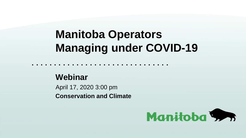# **Manitoba Operators Managing under COVID-19**

#### **Webinar**

April 17, 2020 3:00 pm **Conservation and Climate**

**. . . . . . . . . . . . . . . . . . . . . . . . . . . . . . .** 

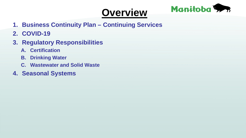### **Overview**



- **1. Business Continuity Plan – Continuing Services**
- **2. COVID-19**
- **3. Regulatory Responsibilities**
	- **A. Certification**
	- **B. Drinking Water**
	- **C. Wastewater and Solid Waste**
- **4. Seasonal Systems**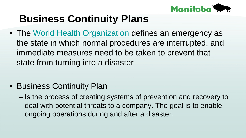

• The [World Health Organization](https://en.wikipedia.org/wiki/World_Health_Organization) defines an emergency as the state in which normal procedures are interrupted, and immediate measures need to be taken to prevent that state from turning into a disaster

- Business Continuity Plan
	- Is the process of creating systems of prevention and recovery to deal with potential threats to a company. The goal is to enable ongoing operations during and after a disaster.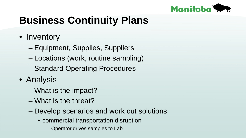

- Inventory
	- Equipment, Supplies, Suppliers
	- Locations (work, routine sampling)
	- Standard Operating Procedures
- Analysis
	- What is the impact?
	- What is the threat?
	- Develop scenarios and work out solutions
		- commercial transportation disruption
			- Operator drives samples to Lab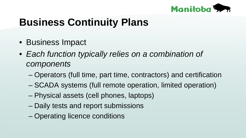

- Business Impact
- *Each function typically relies on a combination of components* 
	- Operators (full time, part time, contractors) and certification
	- SCADA systems (full remote operation, limited operation)
	- Physical assets (cell phones, laptops)
	- Daily tests and report submissions
	- Operating licence conditions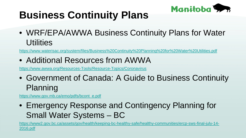

• WRF/EPA/AWWA Business Continuity Plans for Water **Utilities** 

<https://www.waterisac.org/system/files/Business%20Continuity%20Planning%20for%20Water%20Utilities.pdf>

• Additional Resources from AWWA

<https://www.awwa.org/Resources-Tools/Resource-Topics/Coronavirus>

• Government of Canada: A Guide to Business Continuity Planning

[https://www.gov.mb.ca/emo/pdfs/bcont\\_e.pdf](https://www.gov.mb.ca/emo/pdfs/bcont_e.pdf)

• Emergency Response and Contingency Planning for Small Water Systems – BC

[https://www2.gov.bc.ca/assets/gov/health/keeping-bc-healthy-safe/healthy-communities/ercp-sws-final-july-14-](https://www2.gov.bc.ca/assets/gov/health/keeping-bc-healthy-safe/healthy-communities/ercp-sws-final-july-14-2016.pdf) 2016.pdf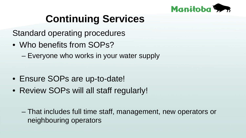

Standard operating procedures

• Who benefits from SOPs?

– Everyone who works in your water supply

- Ensure SOPs are up-to-date!
- Review SOPs will all staff regularly!

– That includes full time staff, management, new operators or neighbouring operators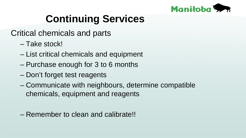

Critical chemicals and parts

- Take stock!
- List critical chemicals and equipment
- Purchase enough for 3 to 6 months
- Don't forget test reagents
- Communicate with neighbours, determine compatible chemicals, equipment and reagents
- Remember to clean and calibrate!!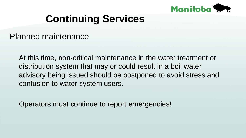

Planned maintenance

At this time, non-critical maintenance in the water treatment or distribution system that may or could result in a boil water advisory being issued should be postponed to avoid stress and confusion to water system users.

Operators must continue to report emergencies!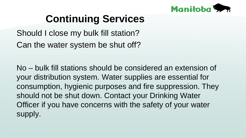

Should I close my bulk fill station? Can the water system be shut off?

No – bulk fill stations should be considered an extension of your distribution system. Water supplies are essential for consumption, hygienic purposes and fire suppression. They should not be shut down. Contact your Drinking Water Officer if you have concerns with the safety of your water supply.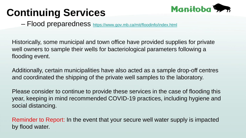

– Flood preparedness <https://www.gov.mb.ca/mit/floodinfo/index.html>

Historically, some municipal and town office have provided supplies for private well owners to sample their wells for bacteriological parameters following a flooding event.

Additionally, certain municipalities have also acted as a sample drop-off centres and coordinated the shipping of the private well samples to the laboratory.

Please consider to continue to provide these services in the case of flooding this year, keeping in mind recommended COVID-19 practices, including hygiene and social distancing.

Reminder to Report: In the event that your secure well water supply is impacted by flood water.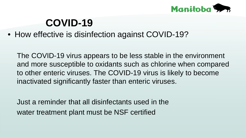

• How effective is disinfection against COVID-19?

The COVID-19 virus appears to be less stable in the environment and more susceptible to oxidants such as chlorine when compared to other enteric viruses. The COVID-19 virus is likely to become inactivated significantly faster than enteric viruses.

Just a reminder that all disinfectants used in the water treatment plant must be NSF certified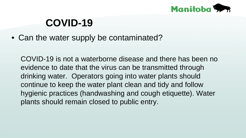

• Can the water supply be contaminated?

COVID-19 is not a waterborne disease and there has been no evidence to date that the virus can be transmitted through drinking water. Operators going into water plants should continue to keep the water plant clean and tidy and follow hygienic practices (handwashing and cough etiquette). Water plants should remain closed to public entry.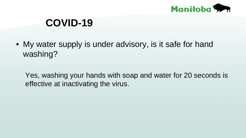

• My water supply is under advisory, is it safe for hand washing?

Yes, washing your hands with soap and water for 20 seconds is effective at inactivating the virus.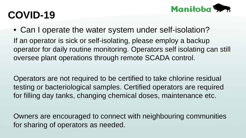

• Can I operate the water system under self-isolation? If an operator is sick or self-isolating, please employ a backup operator for daily routine monitoring. Operators self isolating can still oversee plant operations through remote SCADA control.

Operators are not required to be certified to take chlorine residual testing or bacteriological samples. Certified operators are required for filling day tanks, changing chemical doses, maintenance etc.

Owners are encouraged to connect with neighbouring communities for sharing of operators as needed.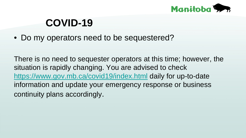

• Do my operators need to be sequestered?

There is no need to sequester operators at this time; however, the situation is rapidly changing. You are advised to check <https://www.gov.mb.ca/covid19/index.html> daily for up-to-date information and update your emergency response or business continuity plans accordingly.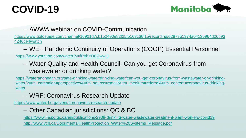

#### – AWWA webinar on COVID-Communication

[https://www.gotostage.com/channel/16921d7cb152490e82f25f5163c66f15/recording/62873b1374a04135964d26b93](https://www.gotostage.com/channel/16921d7cb152490e82f25f5163c66f15/recording/62873b1374a04135964d26b934246ce4/watch) 4246ce4/watch

– WEF Pandemic Continuity of Operations (COOP) Essential Personnel

<https://www.youtube.com/watch?v=fR8hYD6QwwQ>

– Water Quality and Health Council: Can you get Coronavirus from wastewater or drinking water?

https://waterandhealth.org/safe-drinking-water/drinking-water/can-you-get-coronavirus-from-wastewater-or-drinking[water/?utm\\_campaign=perspectives&utm\\_source=email&utm\\_medium=referral&utm\\_content=coronavirus-drinking](https://waterandhealth.org/safe-drinking-water/drinking-water/can-you-get-coronavirus-from-wastewater-or-drinking-water/?utm_campaign=perspectives&utm_source=email&utm_medium=referral&utm_content=coronavirus-drinking-water)water

– WRF: Coronavirus Research Update

<https://www.waterrf.org/event/coronavirus-research-update>

#### – Other Canadian jurisdictions: QC & BC

<https://www.inspq.qc.ca/en/publications/2939-drinking-water-wastewater-treatment-plant-workers-covid19>

[http://www.vch.ca/Documents/HealthProtection\\_Water%20Systems\\_Message.pdf](http://www.vch.ca/Documents/HealthProtection_Water%20Systems_Message.pdf)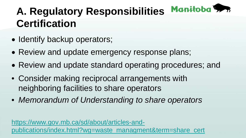#### Manitoba<sup>5</sup> **A. Regulatory Responsibilities Certification**

- Identify backup operators;
- Review and update emergency response plans;
- Review and update standard operating procedures; and
- Consider making reciprocal arrangements with neighboring facilities to share operators
- *Memorandum of Understanding to share operators*

https://www.gov.mb.ca/sd/about/articles-and[publications/index.html?wg=waste\\_managment&term=share\\_cert](https://www.gov.mb.ca/sd/about/articles-and-publications/index.html?wg=waste_managment&term=share_cert)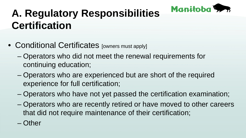

# **A. Regulatory Responsibilities Certification**

- Conditional Certificates [owners must apply]
	- Operators who did not meet the renewal requirements for continuing education;
	- Operators who are experienced but are short of the required experience for full certification;
	- Operators who have not yet passed the certification examination;
	- Operators who are recently retired or have moved to other careers that did not require maintenance of their certification;
	- Other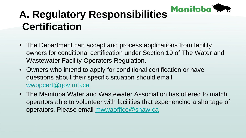

# **A. Regulatory Responsibilities Certification**

- The Department can accept and process applications from facility owners for conditional certification under Section 19 of The Water and Wastewater Facility Operators Regulation.
- Owners who intend to apply for conditional certification or have questions about their specific situation should email [wwopcert@gov.mb.ca](mailto:wwopcert@gov.mb.ca)
- The Manitoba Water and Wastewater Association has offered to match operators able to volunteer with facilities that experiencing a shortage of operators. Please email [mwwaoffice@shaw.ca](mailto:mwwaoffice@shaw.ca)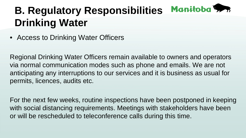#### Manitoba 5 **B. Regulatory Responsibilities Drinking Water**

• Access to Drinking Water Officers

Regional Drinking Water Officers remain available to owners and operators via normal communication modes such as phone and emails. We are not anticipating any interruptions to our services and it is business as usual for permits, licences, audits etc.

For the next few weeks, routine inspections have been postponed in keeping with social distancing requirements. Meetings with stakeholders have been or will be rescheduled to teleconference calls during this time.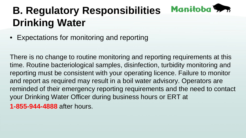#### Manitoba 5 **B. Regulatory Responsibilities Drinking Water**

• Expectations for monitoring and reporting

There is no change to routine monitoring and reporting requirements at this time. Routine bacteriological samples, disinfection, turbidity monitoring and reporting must be consistent with your operating licence. Failure to monitor and report as required may result in a boil water advisory. Operators are reminded of their emergency reporting requirements and the need to contact your Drinking Water Officer during business hours or ERT at **1-855-944-4888** after hours.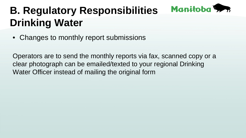#### Manitoba 5 **B. Regulatory Responsibilities Drinking Water**

• Changes to monthly report submissions

Operators are to send the monthly reports via fax, scanned copy or a clear photograph can be emailed/texted to your regional Drinking Water Officer instead of mailing the original form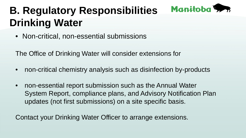### Manitoba 5

# **B. Regulatory Responsibilities Drinking Water**

• Non-critical, non-essential submissions

The Office of Drinking Water will consider extensions for

- non-critical chemistry analysis such as disinfection by-products
- non-essential report submission such as the Annual Water System Report, compliance plans, and Advisory Notification Plan updates (not first submissions) on a site specific basis.

Contact your Drinking Water Officer to arrange extensions.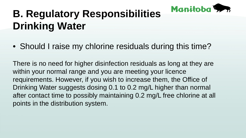

# **B. Regulatory Responsibilities Drinking Water**

• Should I raise my chlorine residuals during this time?

There is no need for higher disinfection residuals as long at they are within your normal range and you are meeting your licence requirements. However, if you wish to increase them, the Office of Drinking Water suggests dosing 0.1 to 0.2 mg/L higher than normal after contact time to possibly maintaining 0.2 mg/L free chlorine at all points in the distribution system.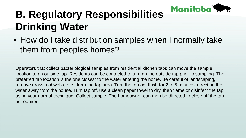

# **B. Regulatory Responsibilities Drinking Water**

• How do I take distribution samples when I normally take them from peoples homes?

Operators that collect bacteriological samples from residential kitchen taps can move the sample location to an outside tap. Residents can be contacted to turn on the outside tap prior to sampling. The preferred tap location is the one closest to the water entering the home. Be careful of landscaping, remove grass, cobwebs, etc., from the tap area. Turn the tap on, flush for 2 to 5 minutes, directing the water away from the house. Turn tap off, use a clean paper towel to dry, then flame or disinfect the tap using your normal technique. Collect sample. The homeowner can then be directed to close off the tap as required.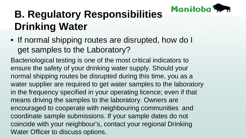

# **B. Regulatory Responsibilities Drinking Water**

• If normal shipping routes are disrupted, how do I get samples to the Laboratory?

Bacteriological testing is one of the most critical indicators to ensure the safety of your drinking water supply. Should your normal shipping routes be disrupted during this time, you as a water supplier are required to get water samples to the laboratory in the frequency specified in your operating licence; even if that means driving the samples to the laboratory. Owners are encouraged to cooperate with neighbouring communities and coordinate sample submissions. If your sample dates do not coincide with your neighbour's, contact your regional Drinking Water Officer to discuss options.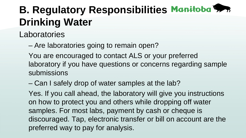# **B. Regulatory Responsibilities Manitoba 5.76 Drinking Water**

Laboratories

– Are laboratories going to remain open?

You are encouraged to contact ALS or your preferred laboratory if you have questions or concerns regarding sample submissions

– Can I safely drop of water samples at the lab?

Yes. If you call ahead, the laboratory will give you instructions on how to protect you and others while dropping off water samples. For most labs, payment by cash or cheque is discouraged. Tap, electronic transfer or bill on account are the preferred way to pay for analysis.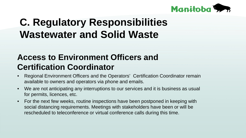

#### **Access to Environment Officers and Certification Coordinator**

- Regional Environment Officers and the Operators' Certification Coordinator remain available to owners and operators via phone and emails.
- We are not anticipating any interruptions to our services and it is business as usual for permits, licences, etc.
- For the next few weeks, routine inspections have been postponed in keeping with social distancing requirements. Meetings with stakeholders have been or will be rescheduled to teleconference or virtual conference calls during this time.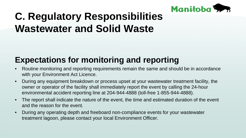

#### **Expectations for monitoring and reporting**

- Routine monitoring and reporting requirements remain the same and should be in accordance with your Environment Act Licence.
- During any equipment breakdown or process upset at your wastewater treatment facility, the owner or operator of the facility shall immediately report the event by calling the 24-hour environmental accident reporting line at 204-944-4888 (toll-free 1-855-944-4888).
- The report shall indicate the nature of the event, the time and estimated duration of the event and the reason for the event.
- During any operating depth and freeboard non-compliance events for your wastewater treatment lagoon, please contact your local Environment Officer.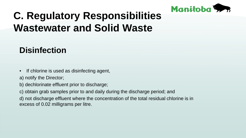

#### **Disinfection**

If chlorine is used as disinfecting agent,

a) notify the Director;

- b) dechlorinate effluent prior to discharge;
- c) obtain grab samples prior to and daily during the discharge period; and

d) not discharge effluent where the concentration of the total residual chlorine is in excess of 0.02 milligrams per litre.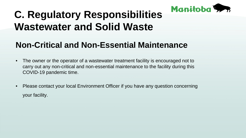

#### **Non-Critical and Non-Essential Maintenance**

- The owner or the operator of a wastewater treatment facility is encouraged not to carry out any non-critical and non-essential maintenance to the facility during this COVID-19 pandemic time.
- Please contact your local Environment Officer if you have any question concerning your facility.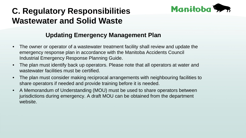

#### **Updating Emergency Management Plan**

- The owner or operator of a wastewater treatment facility shall review and update the emergency response plan in accordance with the Manitoba Accidents Council Industrial Emergency Response Planning Guide.
- The plan must identify back up operators. Please note that all operators at water and wastewater facilities must be certified.
- The plan must consider making reciprocal arrangements with neighbouring facilities to share operators if needed and provide training before it is needed.
- A Memorandum of Understanding (MOU) must be used to share operators between jurisdictions during emergency. A draft MOU can be obtained from the department website.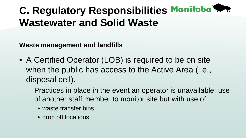**Waste management and landfills**

- A Certified Operator (LOB) is required to be on site when the public has access to the Active Area (i.e., disposal cell).
	- Practices in place in the event an operator is unavailable; use of another staff member to monitor site but with use of:
		- waste transfer bins
		- drop off locations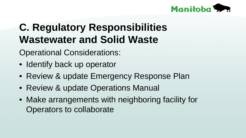

Operational Considerations:

- Identify back up operator
- Review & update Emergency Response Plan
- Review & update Operations Manual
- Make arrangements with neighboring facility for Operators to collaborate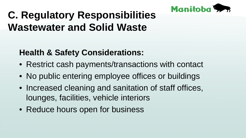

#### **Health & Safety Considerations:**

- Restrict cash payments/transactions with contact
- No public entering employee offices or buildings
- Increased cleaning and sanitation of staff offices, lounges, facilities, vehicle interiors
- Reduce hours open for business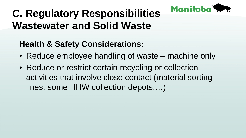

#### **Health & Safety Considerations:**

- Reduce employee handling of waste machine only
- Reduce or restrict certain recycling or collection activities that involve close contact (material sorting lines, some HHW collection depots,…)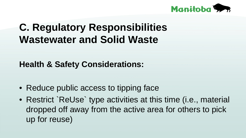

**Health & Safety Considerations:**

- Reduce public access to tipping face
- Restrict `ReUse` type activities at this time (i.e., material dropped off away from the active area for others to pick up for reuse)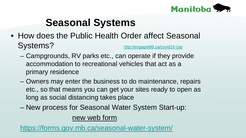

### **Seasonal Systems**

- How does the Public Health Order affect Seasonal Systems? [http://engageMB.ca/covid19-csp](http://engagemb.ca/covid19-csp)
	- Campgrounds, RV parks etc., can operate if they provide accommodation to recreational vehicles that act as a primary residence
	- Owners may enter the business to do maintenance, repairs etc., so that means you can get your sites ready to open as long as social distancing takes place
	- New process for Seasonal Water System Start-up:

#### new web form

<https://forms.gov.mb.ca/seasonal-water-system/>